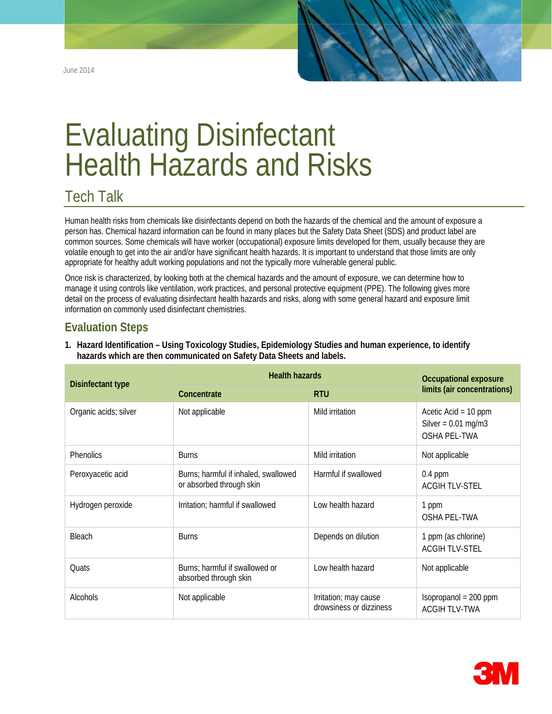June 2014

# Evaluating Disinfectant Health Hazards and Risks

## Tech Talk

Human health risks from chemicals like disinfectants depend on both the hazards of the chemical and the amount of exposure a person has. Chemical hazard information can be found in many places but the Safety Data Sheet (SDS) and product label are common sources. Some chemicals will have worker (occupational) exposure limits developed for them, usually because they are volatile enough to get into the air and/or have significant health hazards. It is important to understand that those limits are only appropriate for healthy adult working populations and not the typically more vulnerable general public.

Once risk is characterized, by looking both at the chemical hazards and the amount of exposure, we can determine how to manage it using controls like ventilation, work practices, and personal protective equipment (PPE). The following gives more detail on the process of evaluating disinfectant health hazards and risks, along with some general hazard and exposure limit information on commonly used disinfectant chemistries.

## **Evaluation Steps**

| <b>Disinfectant type</b> | <b>Health hazards</b>                                            |                                                  | <b>Occupational exposure</b>                                           |
|--------------------------|------------------------------------------------------------------|--------------------------------------------------|------------------------------------------------------------------------|
|                          | Concentrate                                                      | <b>RTU</b>                                       | limits (air concentrations)                                            |
| Organic acids; silver    | Not applicable                                                   | Mild irritation                                  | Acetic Acid = $10$ ppm<br>Silver = $0.01$ mg/m3<br><b>OSHA PEL-TWA</b> |
| Phenolics                | <b>Burns</b>                                                     | Mild irritation                                  | Not applicable                                                         |
| Peroxyacetic acid        | Burns; harmful if inhaled, swallowed<br>or absorbed through skin | Harmful if swallowed                             | $0.4$ ppm<br><b>ACGIHTLV-STEL</b>                                      |
| Hydrogen peroxide        | Irritation; harmful if swallowed                                 | Low health hazard                                | 1 ppm<br>OSHA PEL-TWA                                                  |
| Bleach                   | <b>Burns</b>                                                     | Depends on dilution                              | 1 ppm (as chlorine)<br><b>ACGIH TLV-STEL</b>                           |
| Quats                    | Burns; harmful if swallowed or<br>absorbed through skin          | Low health hazard                                | Not applicable                                                         |
| Alcohols                 | Not applicable                                                   | Irritation; may cause<br>drowsiness or dizziness | $Isopropanol = 200 ppm$<br><b>ACGIH TLV-TWA</b>                        |

**1. Hazard Identification – Using Toxicology Studies, Epidemiology Studies and human experience, to identify hazards which are then communicated on Safety Data Sheets and labels.**